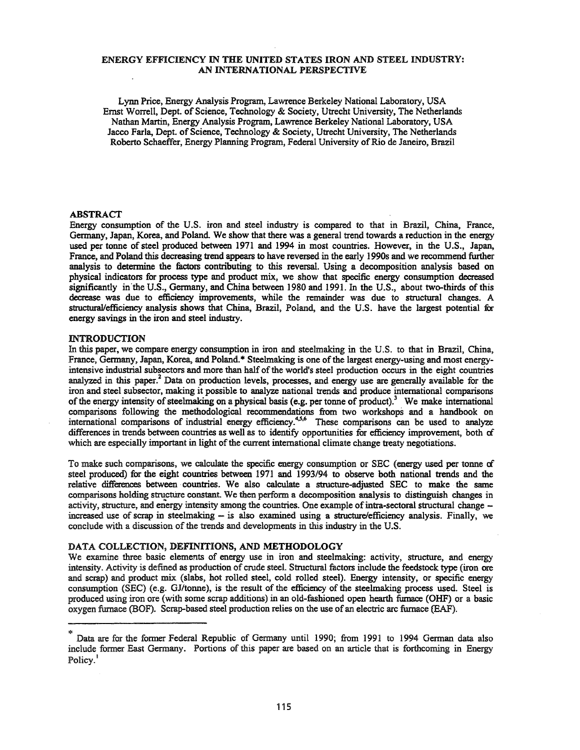### ENERGY EFFICIENCY IN THE UNITED STATES IRON AND STEEL INDUSTRY: AN INTERNATIONAL PERSPECTIVE

Lynn Price, Energy Analysis Program, Lawrence Berkeley National Laboratory, USA Emst Worrell, Dept. of Science, Technology & Society, Utrecht University, The Netherlands Nathan Martin, Energy Analysis Program, Lawrence Berkeley National Laboratory, USA Jacco Farla, Dept. of Science, Technology & Society, Utrecht University, The Netherlands Roberto Schaeffer, Energy Planning Program, Federal University of Rio de Janeiro, Brazil

### ABSTRACT

Energy consumption of the U.S. iron and steel industry is compared to that in Brazil, China, France, Germany, Japan, Korea, and Poland. We show that there was a general trend towards a reduction in the energy used per tonne of steel produced between 1971 and 1994 in most countries. However, in the U.S., Japan, France, and Poland this decreasing trend appears to have reversed in the early 1990s and we recommend further analysis to determine the factors contributing to this reversal. Using a decomposition analysis based on physical indicators for process type and product mix, we show that specific energy consumption decreased significantly in'the U.S., Germany, and China between 1980 and 1991. In the U.S., about two-thirds of this decrease was due to efficiency improvements, while the remainder was due to structural changes. A strueturaJlefficiency analysis shows that China, Brazil, Poland, and the U.S. have the largest potential for energy savings in the iron and steel industry.

### INTRODUCTION

In this paper, we compare energy consumption in iron and steelmaking in the U.S. to that in Brazil, China, France, Germany, Japan, Korea, and Poland.\* Steelmaking is one ofthe largest energy-using and most energyintensive industrial subsectors and more than half of the world's steel production occurs in the eight countries analyzed in this paper.<sup>2</sup> Data on production levels, processes, and energy use are generally available for the iron and steel subsector, making it possible to analyze national trends and produce international comparisons of the energy intensity of steelmaking on a physical basis (e.g. per tonne of product).<sup>3</sup> We make international comparisons following the methodological recommendations from two workshops and a handbook on international comparisons of industrial energy efficiency.<sup>4,5,6</sup> These comparisons can be used to analyze differences in trends between countries as well as to identify opportunities for efficiency improvement, both *ci* which are especially important in light of the current international climate change treaty negotiations.

To make such comparisons, we calculate the specific energy consumption or SEC (energy used per tonne of steel produced) for the eight countries between 1971 and *1993/94* to observe both national trends and the relative differences between countries. We also calculate a structure-adjusted SEC to make the same comparisons holding structure constant. We then perform a decomposition analysis to distinguish changes in activity, structure, and energy intensity among the countries. One example of intra-sectoral structural change increased use of scrap in steelmaking -- is also examined using a structure/efficiency analysis. Finally, we conclude with a discussion of the trends and developments in this industry in the U.S.

## DATA COLLECTION, DEFINITIONS, AND METHODOLOGY

We examine three basic elements of energy use in iron and steelmaking: activity, structure, and energy intensity. Activity is defined as production of crude steel. Structural factors include the feedstock type (iron ore and scrap) and product mix (slabs, hot rolled steel, cold rolled steel). Energy intensity, or specific energy consumption (SEC) (e.g. GJ/tonne), is the result of the efficiency of the steelmaking process used. Steel is produced using iron ore (with some scrap additions) in an old-fashioned open hearth furnace (OHF) or a basic oxygen furnace (BOF). Scrap-based steel production relies on the use ofan electric arc furnace (EAF).

<sup>\*</sup> Data are for the former Federal Republic of Germany until 1990; from <sup>1991</sup> to <sup>1994</sup> German data also include fonner East Germany. Portions of this paper are based on an article that is forthcoming in Energy Policy.<sup>1</sup>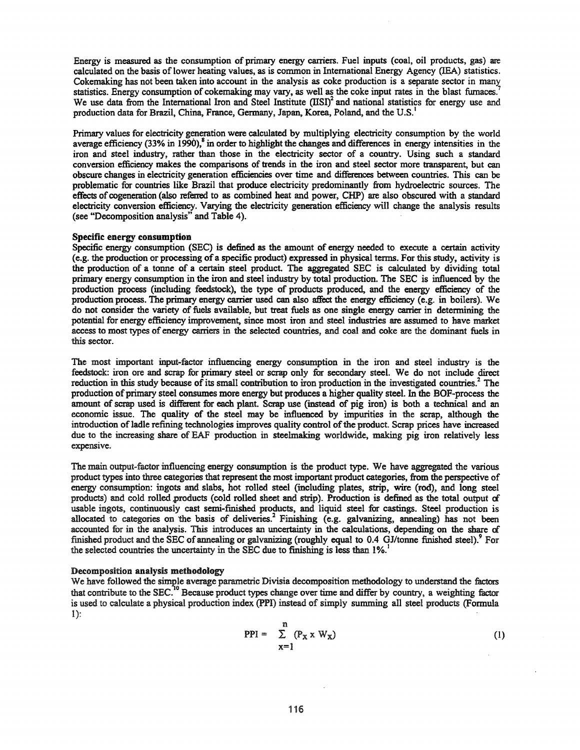Energy is measured as the consumption of primary energy carriers. Fuel inputs (coal, oil products, gas) are calculated on the basis of lower heating values, as is common in International Energy Agency (IEA) statistics. Cokemaking has not been taken into account in the analysis as coke production is a separate sector in many statistics. Energy consumption of cokemaking may vary, as well as the coke input rates in the blast furnaces.' We use data from the International Iron and Steel Institute  $(IBI)^2$  and national statistics for energy use and production data for Brazil, China, France, Germany, Japan, Korea, Poland, and the U.S. <sup>I</sup>

Primary values for electricity generation were calculated by multiplying electricity consumption by the world average efficiency  $(33\%$  in 1990),<sup>8</sup> in order to highlight the changes and differences in energy intensities in the iron and steel industry, rather than those in the electricity sector of a country. Using such a standard conversion efficiency makes the comparisons of trends in the iron and steel sector more transparent, but can obscure changes in electricity generation efficiencies over time and differences between countries. This can be problematic for countries like Brazil that produce electricity predominantly from hydroelectric sources. The effects of cogeneration (also referred to as combined heat and power, CHP) are also obscured with a standard electricity conversion efficiency. Varying the electricity generation efficiency will change the analysis results (see "Decomposition analysis" and Table 4).

### Specific energy consumption

Specific energy consumption (SEC) is defined as the amount of energy needed to execute a certain activity (e.g. the production or processing ofa specific product) expressed in physical terms. For this study, activity is the production of a tonne of a certain steel product. The aggregated SEC is calculated by dividing total primary energy consumption in the iron and steel industry by total production. The SEC is influenced by the production process (including feedstock), the type of products produced, and the energy efficiency of the production process. The primary energy carrier used can also affect the energy efficiency (e.g. in boilers). We do not consider the variety of fuels available, but treat fuels as one single energy carrier in determining the potential for energy efficiency improvement, since most iron and steel industries are assumed to have market access to most types of energy carriers in the selected countries, and coal and coke are the dominant fuels in this sector.

The most important input-factor influencing energy consumption in the iron and steel industry is the feedstock: iron ore and scrap for primary steel or scrap only for secondary steel. We do not include direct reduction in this study because of its small contribution to iron production in the investigated countries.<sup>2</sup> The production of primary steel consumes more energy but produces a higher quality steel. In the BOF-process the amount of scrap used is different for each plant. Scrap use (instead of pig iron) is both a technical and an economic issue. The quality of the steel may be influenced by impurities in the scrap, although the introduction of ladle refining technologies improves quality control of the product. Scrap prices have increased due to the increasing share of EAF production in steelmaking worldwide, making pig iron relatively less expensive.

The main output-factor influencing energy consumption is the product type. We have aggregated the various product types into three categories that represent the most important product categories, from the perspective of energy consumption: ingots and slabs, hot rolled steel (including plates, strip, wire (rod), and long steel products) and cold rolled products (cold rolled sheet and strip). Production is defined as the total output of usable ingots, continuously cast semi-finished products, and liquid steel for castings. Steel production is allocated to categories on the basis of deliveries.<sup>2</sup> Finishing (e.g. galvanizing, annealing) has not been accounted for in the analysis. This introduces an uncertainty in the calculations, depending on the share cf finished product and the SEC ofannealing or galvanizing (roughly equal to 0.4 OJ/tonne finished steel).' For the selected countries the uncertainty in the SEC due to finishing is less than 1%.

## Decomposition analysis methodology

We have followed the simple average parametric Divisia decomposition methodology to understand the factors that contribute to the  $SEC.<sup>10</sup>$  Because product types change over time and differ by country, a weighting factor is used to calculate a physical production index (PPI) instead of simply summing all steel products (Formula 1):

$$
PPI = \sum_{x=1}^{n} (P_x \times W_x)
$$
 (1)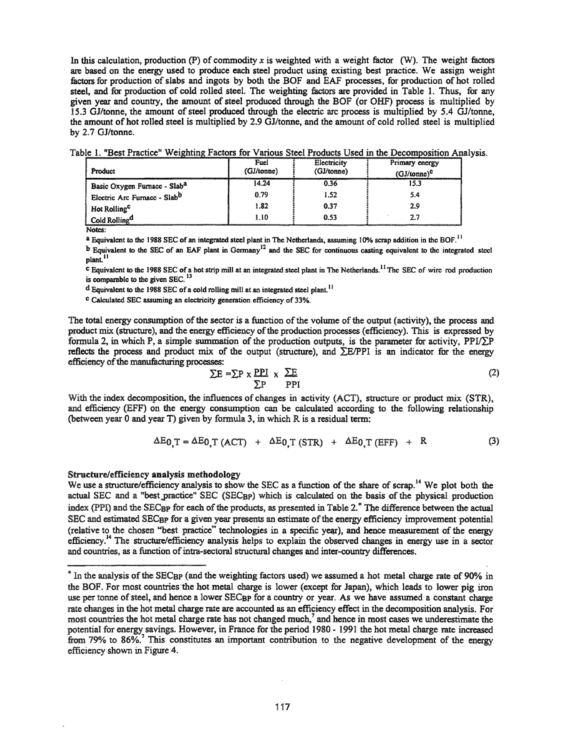In this calculation, production  $(P)$  of commodity x is weighted with a weight factor (W). The weight factors are based on the energy used to produce each steel product using existing best practice. We assign weight factors for production ofslabs and ingots by both the BOF and EAF processes, for production of hot rolled steel, and for production of cold rolled steel. The weighting factors are provided in Table 1. Thus, for any given year and country, the amount of steel produced through the BOF (or OHF) process is multiplied by 15.3 OJ/tonne, the amount ofsteel produced through the electric arc process is multiplied by 5.4 OJ/tonne, the amount of hot rolled steel is multiplied by 2.9 GJ/tonne, and the amount of cold rolled steel is multiplied by 2.7 OJ/tonne.

Table 1. "Best Practice" Weighting Factors for Various Steel Products Used in the Decomposition Analysis.

| Product                                  | Fuel<br>(GJ/tonne) | Electricity<br>(GJ/tonne) | Primary energy<br>$(GJ/tonne)^C$             |
|------------------------------------------|--------------------|---------------------------|----------------------------------------------|
| Basic Oxygen Furnace - Slab <sup>a</sup> | 14.24              | 0.36                      | <u>www.community.com/internation</u><br>15.3 |
| Electric Arc Furnace - Slab <sup>b</sup> | 0.79               | 1.52                      | 5.4                                          |
| Hot Rolling <sup>C</sup>                 | 1.82               | 0.37                      | 2.9                                          |
| Cold Rolling <sup>d</sup>                | 1.10               | 0.53                      | 2.7                                          |

Notes:

<sup>a</sup> Equivalent to the 1988 SEC of an integrated steel plant in The Netherlands, assuming 10% scrap addition in the BOF.<sup>11</sup>

 $b$  Equivalent to the SEC of an EAF plant in Germany<sup>12</sup> and the SEC for continuous casting equivalent to the integrated steel plant.<sup>11</sup>

<sup>c</sup> Equivalent to the 1988 SEC of a hot strip mill at an integrated steel plant in The Netherlands.<sup>11</sup> The SEC of wire rod production is comparable to the given SEC.<sup>13</sup>

d Equivalent to the 1988 SEC of a cold rolling mill at an integrated steel plant.<sup>11</sup>

<sup>C</sup> Calculated SEC assuming an electricity generation efficiency of 33%.

The total energy consumption of the sector is a function of the volume of the output (activity), the process and product mix (structure), and the energy efficiency of the production processes (efficiency). This is expressed by formula 2, in which P, a simple summation of the production outputs, is the parameter for activity,  $PPI/\sum P$ reflects the process and product mix of the output (structure), and  $\Sigma E/PPI$  is an indicator for the energy efficiency of the manufacturing processes:

$$
\Sigma E = \Sigma P \times \frac{PPI}{\Sigma P} \times \frac{\Sigma E}{PPI}
$$
 (2)

With the index decomposition, the influences of changes in activity (ACT), structure or product mix (STR), and efficiency (EFF) on the energy consumption can be calculated according to the. following relationship (between year 0 and year T) given by formula 3, in which R is a residual term:

$$
\Delta E_{0,T} = \Delta E_{0,T} (ACT) + \Delta E_{0,T} (STR) + \Delta E_{0,T} (EFF) + R \tag{3}
$$

## Structure/efficiency analysis methodology

We use a structure/efficiency analysis to show the SEC as a function of the share of scrap.<sup>14</sup> We plot both the actual SEC and a "best practice" SEC (SEC<sub>BP</sub>) which is calculated on the basis of the physical production index (PPI) and the SEC<sub>BP</sub> for each of the products, as presented in Table 2.<sup>\*</sup> The difference between the actual SEC and estimated SEC<sub>BP</sub> for a given year presents an estimate of the energy efficiency improvement potential (relative to the chosen "best practice" technologies in a specific year), and hence measurement of the energy efficiency.14 The structure/efficiency analysis helps to explain the observed changes in energy use in a sector and countries, as a function of intra-sectoral structural changes and inter-country differences.

<sup>&</sup>lt;sup>\*</sup> In the analysis of the SEC<sub>BP</sub> (and the weighting factors used) we assumed a hot metal charge rate of 90% in the BOF. For most countries the hot metal charge is lower (except for Japan), which leads to lower pig iron use per tonne of steel, and hence a lower SEC<sub>BP</sub> for a country or year. As we have assumed a constant charge rate changes in the hot metal charge rate are accounted as an efficiency effect in the decomposition analysis. For most countries the hot metal charge rate has not changed much,<sup>7</sup> and hence in most cases we underestimate the potential for energy savings. However, in France for the period 1980 - 1991 the hot metal charge tate increased from 79% to 86%.<sup>7</sup> This constitutes an important contribution to the negative development of the energy efficiency shown in Figure 4.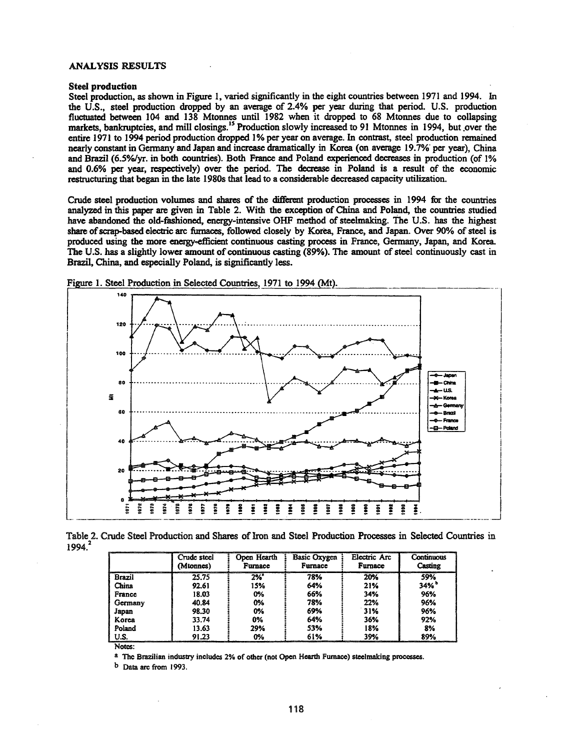#### **ANALYSIS RESULTS**

#### **Steel production**

Steel production, as shown in Figure 1, varied significantly in the eight countries between 1971 and 1994. In the U.S., steel production dropped by an average of 2.4% per year during that period. U.S. production fluctuated between 104 and 138 Mtonnes until 1982 when it dropped to 68 Mtonnes due to collapsing markets, bankruptcies, and mill closings.<sup>15</sup> Production slowly increased to 91 Mtonnes in 1994, but over the entire 1971 to 1994 period production dropped 1% per year on average. In contrast, steel production remained nearly constant in Germany and Japan and increase dramatically in Korea (on average 19.7% per year). China and Brazil (6.5%/yr. in both countries). Both France and Poland experienced decreases in production (of 1% and 0.6% per year, respectively) over the period. The decrease in Poland is a result of the economic restructuring that began in the late 1980s that lead to a considerable decreased capacity utilization.

Crude steel production volumes and shares of the different production processes in 1994 for the countries analyzed in this paper are given in Table 2. With the exception of China and Poland, the countries studied have abandoned the old-fashioned, energy-intensive OHF method of steelmaking. The U.S. has the highest share of scrap-based electric arc furnaces, followed closely by Korea, France, and Japan. Over 90% of steel is produced using the more energy-efficient continuous casting process in France, Germany, Japan, and Korea. The U.S. has a slightly lower amount of continuous casting (89%). The amount of steel continuously cast in Brazil, China, and especially Poland, is significantly less.



Figure 1. Steel Production in Selected Countries, 1971 to 1994 (Mt).

Table 2. Crude Steel Production and Shares of Iron and Steel Production Processes in Selected Countries in 1994.<sup>2</sup>

|               | Crude steel<br>(Mtonnes) | Open Hearth<br><b>Furnace</b> | <b>Basic Oxygen</b><br>Furnace | Electric Arc<br>Furnace | Continuous<br>Casting |
|---------------|--------------------------|-------------------------------|--------------------------------|-------------------------|-----------------------|
| <b>Brazil</b> | 25.75                    | 2%                            | 78%                            | 20%                     | 59%                   |
| China         | 92.61                    | 15%                           | 64%                            | 21%                     | 34%                   |
| France        | 18.03                    | 0%                            | 66%                            | 34%                     | 96%                   |
| Germany       | 40.84                    | 0%                            | 78%                            | 22%                     | 96%                   |
| Japan         | 98.30                    | 0%                            | 69%                            | 31%                     | 96%                   |
| Korea         | 33.74                    | 0%                            | 64%                            | 36%                     | 92%                   |
| Poland        | 13.63                    | 29%                           | 53%                            | 18%                     | 8%                    |
| U.S.          | 91.23                    | 0%                            | 61%                            | 39%                     | 89%                   |

Notes:

a The Brazilian industry includes 2% of other (not Open Hearth Furnace) steelmaking processes.

 $<sup>b</sup>$  Data arc from 1993.</sup>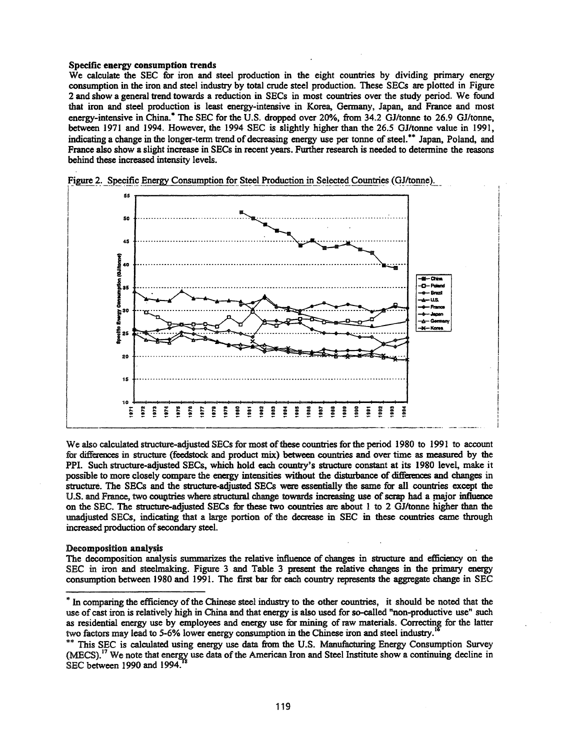#### Specific energy consumption trends

We calculate the SEC for iron and steel production in the eight countries by dividing primary energy consumption in the iron and steel industry by total crude steel production. These SECs are plotted in Figure 2 and show a general trend towards a reduction in SECs in most countries over the study period. We found that iron and steel production is least energy-intensive in Korea, Oennany, Japan, and France and most energy-intensive in China.<sup>\*</sup> The SEC for the U.S. dropped over 20%, from 34.2 GJ/tonne to 26.9 GJ/tonne, between 1971 and 1994. However, the 1994 SEC is slightly higher than the 26.5 OJ/tonne value in 1991, indicating a change in the longer-term trend of decreasing energy use per tonne of steel.<sup>\*\*</sup> Japan, Poland, and France also show a slight increase in SECs in recent years. Further research is needed to detennine the reasons behind these increased intensity levels.



We also calculated structure-adjusted SECs for most of these countries for the period 1980 to 1991 to account for differences in structure (feedstock and product mix) between countries and over time as measured by the PPI. Such structure-adjusted SECs, which hold each country's structure constant at its 1980 level, make it possible to more closely compare the energy intensities without the disturbance of differences and changes in structure. The SECs and the structure-adjusted SECs were essentially the same for aU countries except the U.S. and France, two countries where structural change towards increasing use of scrap had a major influence on the SEC. The structure-adjusted SECs for these two countries are about 1 to 2 OJ/tonne higher than the unadjusted SECs, indicating that a large portion of the decrease in SEC in these countries came through increased production of secondary steel.

## Decomposition analysis

The decomposition analysis summarizes the relative influence of changes in structure and efficiency on the SEC in iron and steelmaking. Figure 3 and Table 3 present the relative changes in the primary energy consumption between 1980 and 1991. The first bar for each country represents the aggregate change in SEC

<sup>\*</sup> In comparing the efficiency of the Chinese steel industry to the other countries, it should be noted that the use of cast iron is relatively high in China and that energy is also used for so-called "non-productive use" such as residential energy use by employees and energy use for mining of raw materials. Correcting for the latter two factors may lead to 5-6% lower energy consumption in the Chinese iron and steel industry.

<sup>\*\*</sup> This SEC is calculated using energy use data from the U.S. Manufacturing Energy Consumption Survey  $(MECS).<sup>17</sup>$  We note that energy use data of the American Iron and Steel Institute show a continuing decline in SEC between 1990 and 1994.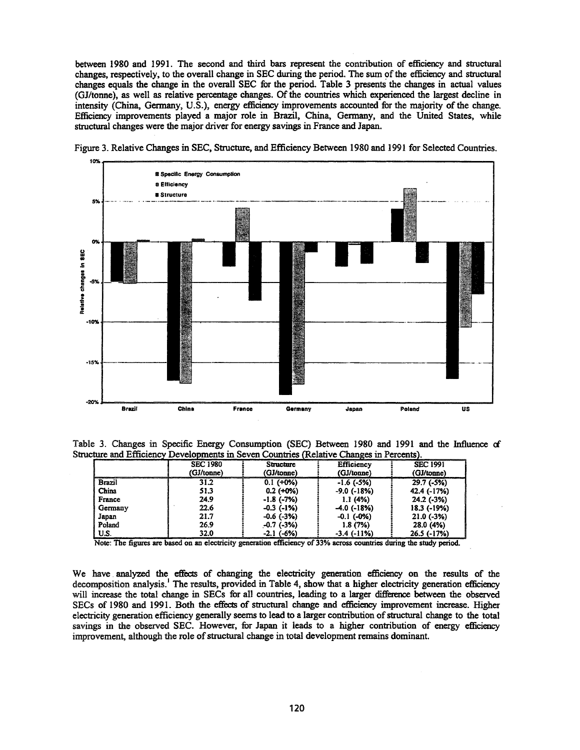between 1980 and 1991. The second and third bars represent the contribution of efficiency and structural changes, respectively, to the overall change in SEC during the period. The sum of the efficiency and structural changes equals the change in the overall SEC for the period. Table 3 presents the changes in actual values (GJ/tonne), as well as relative percentage changes. Of the countries which experienced the largest decline in intensity (China, Germany, U.S.), energy efficiency improvements accounted for the majority of the change. Efficiency improvements played a major role in Brazil, China, Germany, and the United States, while structural changes were the major driver for energy savings in France and Japan.



Figure 3. Relative Changes in SEC, Structure, and Efficiency Between 1980 and 1991 for Selected Countries.

Table 3. Changes in Specific Energy Consumption (SEC) Between 1980 and 1991 and the Influence of Structure and Efficiency Developments in Seven Countries (Relative Changes in Percents).

|         | <b>SEC 1980</b> | Structure         | <b>Efficiency</b> | <b>SEC 1991</b> |
|---------|-----------------|-------------------|-------------------|-----------------|
|         | (GJ/tonne)      | (GJ/tonne)        | (GJ/tonne)        | (GJ/tonne)      |
| Brazil  | 31.2            | $0.1 (+0%)$       | $-1.6$ ( $-5\%$ ) | $29.7(-5%)$     |
| China   | 51.3            | $0.2$ (+0%)       | $-9.0$ ( $-18%$ ) | 42.4 (-17%)     |
| France  | 24.9            | $-1.8$ ( $-7%$ )  | 1.1(4%)           | $24.2$ (-3%)    |
| Germany | 22.6            | $-0.3$ ( $-1\%$ ) | $-4.0$ (-18%)     | 18.3 (-19%)     |
| Japan   | 21.7            | $-0.6$ ( $-3\%$ ) | $-0.1$ ( $-0\%$ ) | $21.0(-3%)$     |
| Poland  | 26.9            | $-0.7$ ( $-3\%$ ) | 1.8(7%)           | 28.0 (4%)       |
| U.S.    | 32.0            | $-2.1$ $(-6%)$    | $-3.4$ $(-11%)$   | 26.5 (-17%)     |

Note: The figures are based on an electricity generation efficiency of 33% across countries during the study period.

We have analyzed the effects of changing the electricity generation efficiency on the results of the decomposition analysis.<sup>1</sup> The results, provided in Table 4, show that a higher electricity generation efficiency will increase the total change in SECs for all countries, leading to a larger difference between the observed SECs of 1980 and 1991. Both the effects of structural change and efficiency improvement increase. Higher electricity generation efficiency generally seems to lead to a larger contribution of structural change to the total savings in the observed SEC. However, for Japan it leads to a higher contribution of energy efficiency improvement, although the role of structural change in total development remains dominant.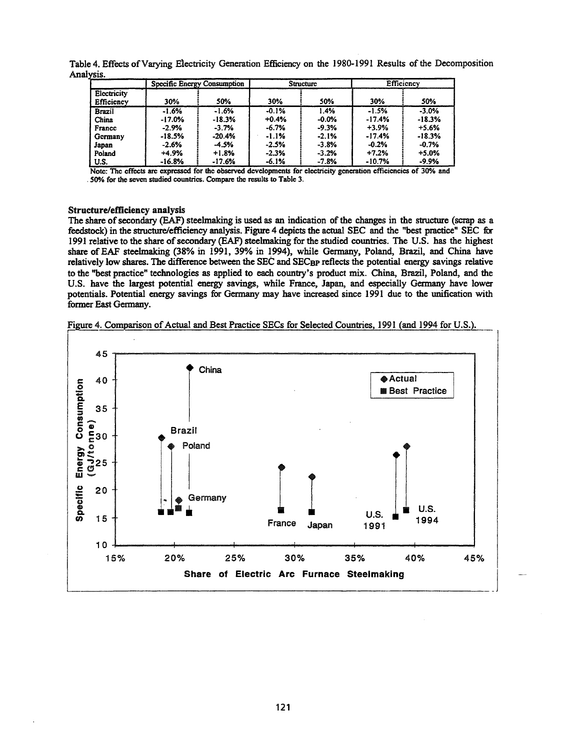|                                                                                                                  | Specific Energy Consumption |          | Structure |         | Efficiency |          |
|------------------------------------------------------------------------------------------------------------------|-----------------------------|----------|-----------|---------|------------|----------|
| Electricity<br>Efficiency                                                                                        | 30%                         | 50%      | 30%       | 50%     | 30%        | 50%      |
| <b>Brazil</b>                                                                                                    | $-1.6%$                     | $-1.6%$  | $-0.1%$   | 1.4%    | $-1.5%$    | $-3.0%$  |
| China                                                                                                            | $-17.0%$                    | $-18.3%$ | $+0.4%$   | $-0.0%$ | $-17.4%$   | $-18.3%$ |
| France                                                                                                           | $-2.9%$                     | $-3.7%$  | $-6.7%$   | $-9.3%$ | $-3.9%$    | $+5.6%$  |
| Germany                                                                                                          | $-18.5%$                    | $-20.4%$ | $-1.1%$   | $-2.1%$ | $-17.4%$   | $-18.3%$ |
| Japan                                                                                                            | $-2.6%$                     | -4.5%    | $-2.5%$   | $-3.8%$ | $-0.2%$    | $-0.7%$  |
| Poland                                                                                                           | $+4.9%$                     | $+1.8%$  | $-2.3%$   | $-3.2%$ | $+7.2%$    | $+5.0%$  |
| U.S.                                                                                                             | $-16.8%$                    | $-17.6%$ | $-6.1%$   | $-7.8%$ | $-10.7%$   | $-9.9%$  |
| Note: The effects are expressed for the observed developments for electricity generation efficiencies of 30% and |                             |          |           |         |            |          |

Analysis. Table 4. Effects of Varying Electricity Generation Efficiency on the 1980-1991 Results of the Decomposition

. 50% for the seven studied countries. Compare the results to Table 3.

## Structure/efficiency analysis

The share of secondary (EAF) steelmaking is used as an indication of the changes in the structure (scrap as a feedstock) in the structure/efficiency analysis. Figure 4 depicts the actual SEC and the "best practice" SEC fir 1991 relative to the share of secondary (EAF) steelmaking for the studied countries. The U.S. has the highest share of EAF steelmaking (38% in 1991, 39% in 1994), while Germany, Poland, Brazil, and China have relatively low shares. The difference between the SEC and SEC<sub>BP</sub> reflects the potential energy savings relative to the "best practice" technologies as applied to each country's product mix. China, Brazil, Poland, and the U.S. have the largest potential energy savings, while France, Japan, and especially Germany have lower potentials. Potential energy savings for Germany may have increased since 1991 due to the unification with former East Germany.



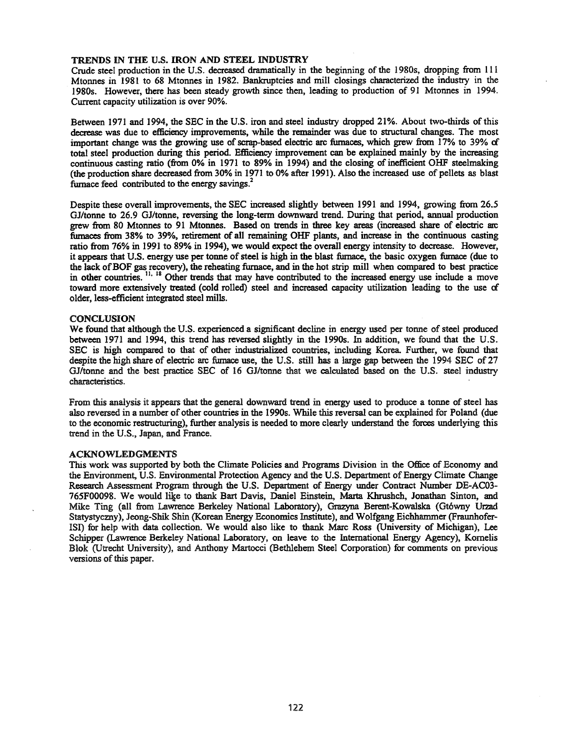### TRENDS IN THE U.S. IRON AND STEEL INDUSTRY

Crude steel production in the U.S. decreased dramatically in the beginning of the 1980s, dropping from 111 Mtonnes in 1981 to 68 Mtonnes in 1982. Banlauptcies and mill closings characterized the industry in the 1980s. However, there has been steady growth since then, leading to production of 91 Mtonnes in 1994. Current capacity utilization is over 90%.

Between 1971 and 1994, the SEC in the U.S. iron and steel industry dropped 21%. About two-thirds of this decrease was due to efficiency improvements, while the remainder was due to structural changes. The most important change was the growing use of scrap-based electric arc furnaces, which grew from  $17\%$  to 39% of total steel production during this period. Efficiency improvement can be explained mainly by the increasing continuous casting ratio (from 0% in 1971 to 89% in 1994) and the closing ofinefficient OHF steelmaking (the production share decreased from 30% in 1971 to 0% after 1991). Also the increased use of pellets as blast furnace feed contributed to the energy savings.<sup>2</sup>

Despite these overall improvements, the SEC increased slightly between 1991 and 1994, growing from 26.5 GJ/tonne to 26.9 GJ/tonne, reversing the long-term downward trend. During that period, annual production grew from 80 Mtonnes to 91 Mtonnes. Based on trends in three key areas (increased share of electric an: furnaces from 38% to 39%, retirement of all remaining OHF plants, and increase in the continuous casting ratio from 76% in 1991 to 89% in 1994), we would expect the overall energy intensity to decrease. However, it appears that U.S. energy use per tonne of steel is high in the blast furnace, the basic oxygen furnace (due to the lack of BOF gas recovery), the reheating furnace, and in the hot strip mill when compared to best practice in other countries. <sup>11, 18</sup> Other trends that may have contributed to the increased energy use include a move toward more extensively treated (cold rolled) steel and increased capacity utilization leading to the use of older, less-efficient integrated steel mills.

## **CONCLUSION**

We found that although the U.S. experienced a significant decline in energy used per tonne of steel produced between 1971 and 1994, this trend has reversed slightly in the 1990s. In addition, we found that the U.S. SEC is high compared to that of other industrialized countries, including Korea. Further, we found that despite the high share of electric arc furnace use, the U.S. still has a large gap between the 1994 SEC of 27 GJ/tonne and the best practice SEC of 16 GJ/tonne that we calculated based on the U.S. steel industry characteristics.

From this analysis it appears that the general downward trend in energy used to produce a tonne of steel has also reversed in a number of other countries in the 1990s. While this reversal can be explained for Poland (due to the economic restructuring), further analysis is needed to more clearly understand the forces underlying this trend in the U.S., Japan, and France.

### ACKNOWLEDGMENTS

This work was supported by both the Climate Policies and Programs Division in the Office of Economy and the Environment, U.S. Environmental Protection Agency and the U.S. Department of Energy Climate Change Research Assessment Program through the U.S. Department of Energy under Contract Number DE-AC03-765F00098. We would like to thank Bart Davis, Daniel Einstein, Marta Khrushch, Jonathan Sinton, and Mike Ting (all from Lawrence Berkeley National Laboratory), Grazyna Berent-Kowalska (Gtówny Urzad Statystyczny), Jeong-Shik Shin (Korean Energy Economics Institute), and Wolfgang Eichhammer (FraunhoferlSI) for help with data collection. We would also like to thank Marc Ross (University of Michigan), Lee Schipper (Lawrence Berkeley National Laboratory, on leave to the International Energy Agency), Komelis Blok (Utrecht University), and Anthony Martocci (Bethlehem Steel Corporation) for comments on previous versions of this paper.